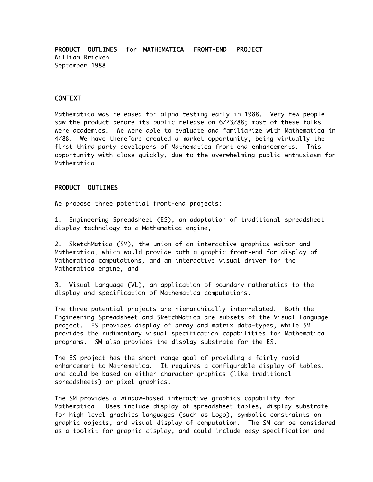PRODUCT OUTLINES for MATHEMATICA FRONT-END PROJECT William Bricken September 1988

# CONTEXT

Mathematica was released for alpha testing early in 1988. Very few people saw the product before its public release on 6/23/88; most of these folks were academics. We were able to evaluate and familiarize with Mathematica in 4/88. We have therefore created a market opportunity, being virtually the first third-party developers of Mathematica front-end enhancements. This opportunity with close quickly, due to the overwhelming public enthusiasm for Mathematica.

## PRODUCT OUTLINES

We propose three potential front-end projects:

1. Engineering Spreadsheet (ES), an adaptation of traditional spreadsheet display technology to a Mathematica engine,

2. SketchMatica (SM), the union of an interactive graphics editor and Mathematica, which would provide both a graphic front-end for display of Mathematica computations, and an interactive visual driver for the Mathematica engine, and

3. Visual Language (VL), an application of boundary mathematics to the display and specification of Mathematica computations.

The three potential projects are hierarchically interrelated. Both the Engineering Spreadsheet and SketchMatica are subsets of the Visual Language project. ES provides display of array and matrix data-types, while SM provides the rudimentary visual specification capabilities for Mathematica programs. SM also provides the display substrate for the ES.

The ES project has the short range goal of providing a fairly rapid enhancement to Mathematica. It requires a configurable display of tables, and could be based on either character graphics (like traditional spreadsheets) or pixel graphics.

The SM provides a window-based interactive graphics capability for Mathematica. Uses include display of spreadsheet tables, display substrate for high level graphics languages (such as Logo), symbolic constraints on graphic objects, and visual display of computation. The SM can be considered as a toolkit for graphic display, and could include easy specification and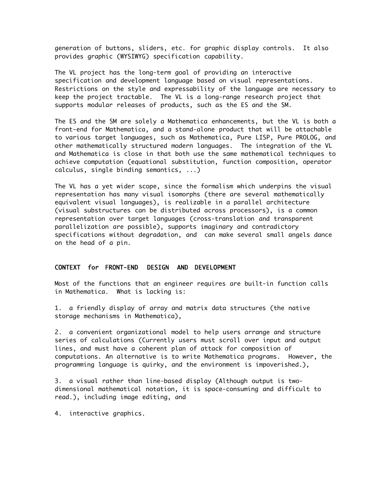generation of buttons, sliders, etc. for graphic display controls. It also provides graphic (WYSIWYG) specification capability.

The VL project has the long-term goal of providing an interactive specification and development language based on visual representations. Restrictions on the style and expressability of the language are necessary to keep the project tractable. The VL is a long-range research project that supports modular releases of products, such as the ES and the SM.

The ES and the SM are solely a Mathematica enhancements, but the VL is both a front-end for Mathematica, and a stand-alone product that will be attachable to various target languages, such as Mathematica, Pure LISP, Pure PROLOG, and other mathematically structured modern languages. The integration of the VL and Mathematica is close in that both use the same mathematical techniques to achieve computation (equational substitution, function composition, operator calculus, single binding semantics, ...)

The VL has a yet wider scope, since the formalism which underpins the visual representation has many visual isomorphs (there are several mathematically equivalent visual languages), is realizable in a parallel architecture (visual substructures can be distributed across processors), is a common representation over target languages (cross-translation and transparent parallelization are possible), supports imaginary and contradictory specifications without degradation, and can make several small angels dance on the head of a pin.

## CONTEXT for FRONT-END DESIGN AND DEVELOPMENT

Most of the functions that an engineer requires are built-in function calls in Mathematica. What is lacking is:

1. a friendly display of array and matrix data structures (the native storage mechanisms in Mathematica),

2. a convenient organizational model to help users arrange and structure series of calculations (Currently users must scroll over input and output lines, and must have a coherent plan of attack for composition of computations. An alternative is to write Mathematica programs. However, the programming language is quirky, and the environment is impoverished.),

3. a visual rather than line-based display (Although output is twodimensional mathematical notation, it is space-consuming and difficult to read.), including image editing, and

4. interactive graphics.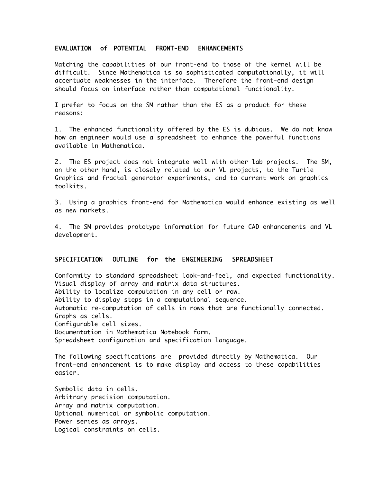## EVALUATION of POTENTIAL FRONT-END ENHANCEMENTS

Matching the capabilities of our front-end to those of the kernel will be difficult. Since Mathematica is so sophisticated computationally, it will accentuate weaknesses in the interface. Therefore the front-end design should focus on interface rather than computational functionality.

I prefer to focus on the SM rather than the ES as a product for these reasons:

1. The enhanced functionality offered by the ES is dubious. We do not know how an engineer would use a spreadsheet to enhance the powerful functions available in Mathematica.

2. The ES project does not integrate well with other lab projects. The SM, on the other hand, is closely related to our VL projects, to the Turtle Graphics and fractal generator experiments, and to current work on graphics toolkits.

3. Using a graphics front-end for Mathematica would enhance existing as well as new markets.

4. The SM provides prototype information for future CAD enhancements and VL development.

## SPECIFICATION OUTLINE for the ENGINEERING SPREADSHEET

Conformity to standard spreadsheet look-and-feel, and expected functionality. Visual display of array and matrix data structures. Ability to localize computation in any cell or row. Ability to display steps in a computational sequence. Automatic re-computation of cells in rows that are functionally connected. Graphs as cells. Configurable cell sizes. Documentation in Mathematica Notebook form. Spreadsheet configuration and specification language.

The following specifications are provided directly by Mathematica. Our front-end enhancement is to make display and access to these capabilities easier.

Symbolic data in cells. Arbitrary precision computation. Array and matrix computation. Optional numerical or symbolic computation. Power series as arrays. Logical constraints on cells.